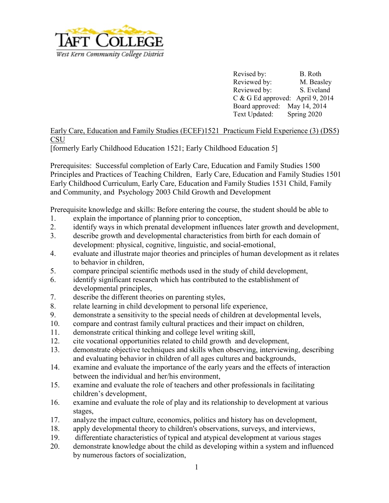

Revised by: B. Roth Reviewed by: M. Beasley Reviewed by: S. Eveland C & G Ed approved: April 9, 2014 Board approved: May 14, 2014 Text Updated: Spring 2020

Early Care, Education and Family Studies (ECEF)1521 Practicum Field Experience (3) (DS5) **CSU** 

[formerly Early Childhood Education 1521; Early Childhood Education 5]

Prerequisites: Successful completion of Early Care, Education and Family Studies 1500 Principles and Practices of Teaching Children, Early Care, Education and Family Studies 1501 Early Childhood Curriculum, Early Care, Education and Family Studies 1531 Child, Family and Community, and Psychology 2003 Child Growth and Development

Prerequisite knowledge and skills: Before entering the course, the student should be able to

- 1. explain the importance of planning prior to conception,
- 2. identify ways in which prenatal development influences later growth and development,
- 3. describe growth and developmental characteristics from birth for each domain of development: physical, cognitive, linguistic, and social-emotional,
- 4. evaluate and illustrate major theories and principles of human development as it relates to behavior in children,
- 5. compare principal scientific methods used in the study of child development,
- 6. identify significant research which has contributed to the establishment of developmental principles,
- 7. describe the different theories on parenting styles,
- 8. relate learning in child development to personal life experience,
- 9. demonstrate a sensitivity to the special needs of children at developmental levels,
- 10. compare and contrast family cultural practices and their impact on children,
- 11. demonstrate critical thinking and college level writing skill,
- 12. cite vocational opportunities related to child growth and development,
- 13. demonstrate objective techniques and skills when observing, interviewing, describing and evaluating behavior in children of all ages cultures and backgrounds,
- 14. examine and evaluate the importance of the early years and the effects of interaction between the individual and her/his environment,
- 15. examine and evaluate the role of teachers and other professionals in facilitating children's development,
- 16. examine and evaluate the role of play and its relationship to development at various stages,
- 17. analyze the impact culture, economics, politics and history has on development,
- 18. apply developmental theory to children's observations, surveys, and interviews,
- 19. differentiate characteristics of typical and atypical development at various stages
- 20. demonstrate knowledge about the child as developing within a system and influenced by numerous factors of socialization,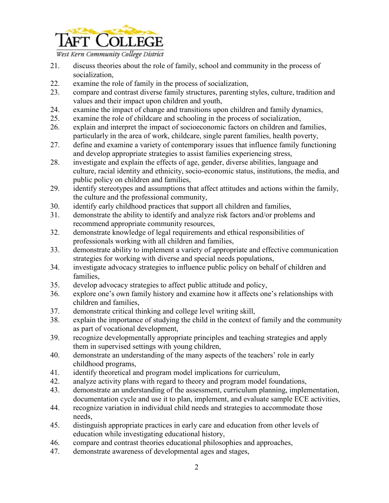

West Kern Community College District

- 21. discuss theories about the role of family, school and community in the process of socialization,
- 22. examine the role of family in the process of socialization,
- 23. compare and contrast diverse family structures, parenting styles, culture, tradition and values and their impact upon children and youth,
- 24. examine the impact of change and transitions upon children and family dynamics,
- 25. examine the role of childcare and schooling in the process of socialization,
- 26. explain and interpret the impact of socioeconomic factors on children and families, particularly in the area of work, childcare, single parent families, health poverty,
- 27. define and examine a variety of contemporary issues that influence family functioning and develop appropriate strategies to assist families experiencing stress,
- 28. investigate and explain the effects of age, gender, diverse abilities, language and culture, racial identity and ethnicity, socio-economic status, institutions, the media, and public policy on children and families,
- 29. identify stereotypes and assumptions that affect attitudes and actions within the family, the culture and the professional community,
- 30. identify early childhood practices that support all children and families,
- 31. demonstrate the ability to identify and analyze risk factors and/or problems and recommend appropriate community resources,
- 32. demonstrate knowledge of legal requirements and ethical responsibilities of professionals working with all children and families,
- 33. demonstrate ability to implement a variety of appropriate and effective communication strategies for working with diverse and special needs populations,
- 34. investigate advocacy strategies to influence public policy on behalf of children and families,
- 35. develop advocacy strategies to affect public attitude and policy,
- 36. explore one's own family history and examine how it affects one's relationships with children and families,
- 37. demonstrate critical thinking and college level writing skill,
- 38. explain the importance of studying the child in the context of family and the community as part of vocational development,
- 39. recognize developmentally appropriate principles and teaching strategies and apply them in supervised settings with young children,
- 40. demonstrate an understanding of the many aspects of the teachers' role in early childhood programs,
- 41. identify theoretical and program model implications for curriculum,
- 42. analyze activity plans with regard to theory and program model foundations,
- 43. demonstrate an understanding of the assessment, curriculum planning, implementation, documentation cycle and use it to plan, implement, and evaluate sample ECE activities,
- 44. recognize variation in individual child needs and strategies to accommodate those needs,
- 45. distinguish appropriate practices in early care and education from other levels of education while investigating educational history,
- 46. compare and contrast theories educational philosophies and approaches,
- 47. demonstrate awareness of developmental ages and stages,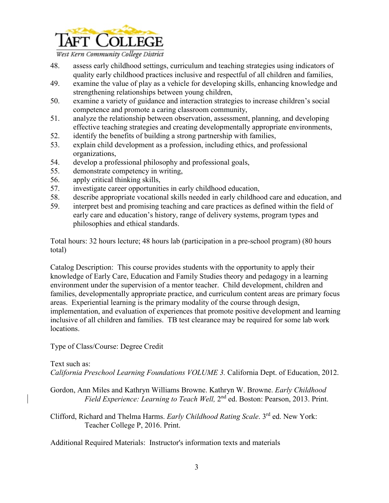

West Kern Community College District

- 48. assess early childhood settings, curriculum and teaching strategies using indicators of quality early childhood practices inclusive and respectful of all children and families,
- 49. examine the value of play as a vehicle for developing skills, enhancing knowledge and strengthening relationships between young children,
- 50. examine a variety of guidance and interaction strategies to increase children's social competence and promote a caring classroom community,
- 51. analyze the relationship between observation, assessment, planning, and developing effective teaching strategies and creating developmentally appropriate environments,
- 52. identify the benefits of building a strong partnership with families,
- 53. explain child development as a profession, including ethics, and professional organizations,
- 54. develop a professional philosophy and professional goals,
- 55. demonstrate competency in writing,
- 56. apply critical thinking skills,
- 57. investigate career opportunities in early childhood education,
- 58. describe appropriate vocational skills needed in early childhood care and education, and
- 59. interpret best and promising teaching and care practices as defined within the field of early care and education's history, range of delivery systems, program types and philosophies and ethical standards.

Total hours: 32 hours lecture; 48 hours lab (participation in a pre-school program) (80 hours total)

Catalog Description: This course provides students with the opportunity to apply their knowledge of Early Care, Education and Family Studies theory and pedagogy in a learning environment under the supervision of a mentor teacher. Child development, children and families, developmentally appropriate practice, and curriculum content areas are primary focus areas. Experiential learning is the primary modality of the course through design, implementation, and evaluation of experiences that promote positive development and learning inclusive of all children and families.TB test clearance may be required for some lab work locations.

Type of Class/Course: Degree Credit

## Text such as:

*California Preschool Learning Foundations VOLUME 3.* California Dept. of Education, 2012.

- Gordon, Ann Miles and Kathryn Williams Browne. Kathryn W. Browne. *Early Childhood Field Experience: Learning to Teach Well,* 2nd ed. Boston: Pearson, 2013. Print.
- Clifford, Richard and Thelma Harms. *Early Childhood Rating Scale*. 3rd ed. New York: Teacher College P, 2016. Print.

Additional Required Materials: Instructor's information texts and materials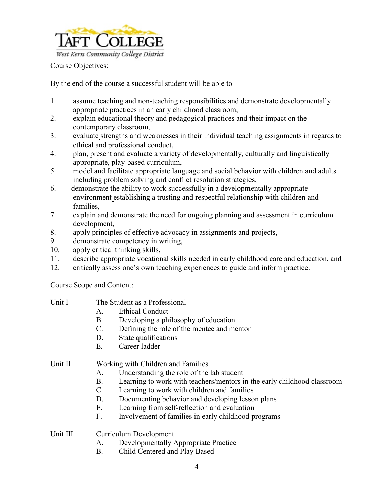

Course Objectives:

By the end of the course a successful student will be able to

- 1. assume teaching and non-teaching responsibilities and demonstrate developmentally appropriate practices in an early childhood classroom,
- 2. explain educational theory and pedagogical practices and their impact on the contemporary classroom,
- 3. evaluate strengths and weaknesses in their individual teaching assignments in regards to ethical and professional conduct,
- 4. plan, present and evaluate a variety of developmentally, culturally and linguistically appropriate, play-based curriculum,
- 5. model and facilitate appropriate language and social behavior with children and adults including problem solving and conflict resolution strategies,
- 6. demonstrate the ability to work successfully in a developmentally appropriate environment establishing a trusting and respectful relationship with children and families,
- 7. explain and demonstrate the need for ongoing planning and assessment in curriculum development,
- 8. apply principles of effective advocacy in assignments and projects,
- 9. demonstrate competency in writing,
- 10. apply critical thinking skills,
- 11. describe appropriate vocational skills needed in early childhood care and education, and
- 12. critically assess one's own teaching experiences to guide and inform practice.

Course Scope and Content:

| Unit I   | The Student as a Professional                                                 |  |  |
|----------|-------------------------------------------------------------------------------|--|--|
|          | <b>Ethical Conduct</b><br>А.                                                  |  |  |
|          | Developing a philosophy of education<br>В.                                    |  |  |
|          | Defining the role of the mentee and mentor<br>C.                              |  |  |
|          | State qualifications<br>D.                                                    |  |  |
|          | Е.<br>Career ladder                                                           |  |  |
| Unit II  | Working with Children and Families                                            |  |  |
|          | Understanding the role of the lab student<br>А.                               |  |  |
|          | Learning to work with teachers/mentors in the early childhood classroom<br>В. |  |  |
|          | Learning to work with children and families<br>C.                             |  |  |
|          | Documenting behavior and developing lesson plans<br>D.                        |  |  |
|          | Е.<br>Learning from self-reflection and evaluation                            |  |  |
|          | F.<br>Involvement of families in early childhood programs                     |  |  |
| Unit III | Curriculum Development                                                        |  |  |
|          |                                                                               |  |  |

- A. Developmentally Appropriate Practice
- B. Child Centered and Play Based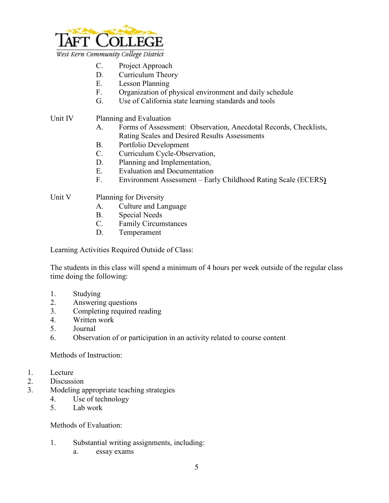

- C. Project Approach
- D. Curriculum Theory
- E. Lesson Planning
- F. Organization of physical environment and daily schedule
- G. Use of California state learning standards and tools
- Unit IV Planning and Evaluation
	- A. Forms of Assessment: Observation, Anecdotal Records, Checklists, Rating Scales and Desired Results Assessments
	- B. Portfolio Development
	- C. Curriculum Cycle-Observation,
	- D. Planning and Implementation,
	- E. Evaluation and Documentation
	- F. Environment Assessment Early Childhood Rating Scale (ECERS**)**
- Unit V Planning for Diversity
	- A. Culture and Language
	- B. Special Needs
	- C. Family Circumstances
	- D. Temperament

Learning Activities Required Outside of Class:

The students in this class will spend a minimum of 4 hours per week outside of the regular class time doing the following:

- 1. Studying
- 2. Answering questions
- 3. Completing required reading
- 4. Written work
- 5. Journal
- 6. Observation of or participation in an activity related to course content

Methods of Instruction:

- 1. Lecture
- 2. Discussion
- 3. Modeling appropriate teaching strategies
	- 4. Use of technology
	- 5. Lab work

Methods of Evaluation:

- 1. Substantial writing assignments, including:
	- a. essay exams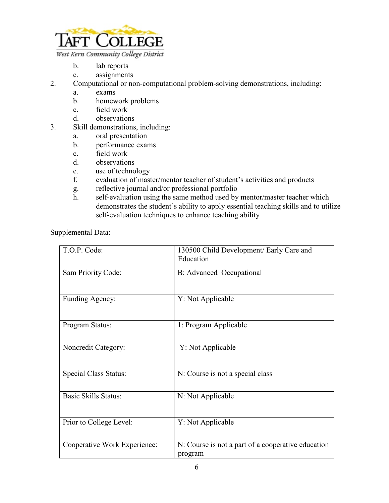

- b. lab reports
- c. assignments
- 2. Computational or non-computational problem-solving demonstrations, including:
	- a. exams
	- b. homework problems
	- c. field work
	- d. observations
- 3. Skill demonstrations, including:
	- a. oral presentation
	- b. performance exams
	- c. field work
	- d. observations
	- e. use of technology
	- f. evaluation of master/mentor teacher of student's activities and products
	- g. reflective journal and/or professional portfolio
	- h. self-evaluation using the same method used by mentor/master teacher which demonstrates the student's ability to apply essential teaching skills and to utilize self-evaluation techniques to enhance teaching ability

Supplemental Data:

| T.O.P. Code:                 | 130500 Child Development/ Early Care and<br>Education         |
|------------------------------|---------------------------------------------------------------|
| Sam Priority Code:           | B: Advanced Occupational                                      |
| Funding Agency:              | Y: Not Applicable                                             |
| Program Status:              | 1: Program Applicable                                         |
| Noncredit Category:          | Y: Not Applicable                                             |
| <b>Special Class Status:</b> | N: Course is not a special class                              |
| <b>Basic Skills Status:</b>  | N: Not Applicable                                             |
| Prior to College Level:      | Y: Not Applicable                                             |
| Cooperative Work Experience: | N: Course is not a part of a cooperative education<br>program |